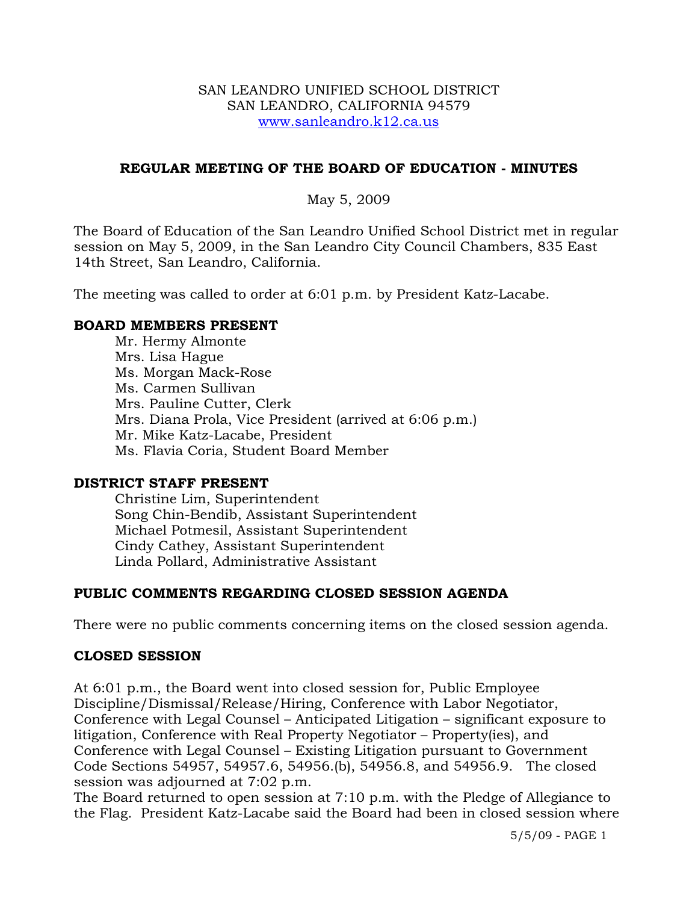#### SAN LEANDRO UNIFIED SCHOOL DISTRICT SAN LEANDRO, CALIFORNIA 94579 www.sanleandro.k12.ca.us

## **REGULAR MEETING OF THE BOARD OF EDUCATION - MINUTES**

## May 5, 2009

The Board of Education of the San Leandro Unified School District met in regular session on May 5, 2009, in the San Leandro City Council Chambers, 835 East 14th Street, San Leandro, California.

The meeting was called to order at 6:01 p.m. by President Katz-Lacabe.

#### **BOARD MEMBERS PRESENT**

Mr. Hermy Almonte Mrs. Lisa Hague Ms. Morgan Mack-Rose Ms. Carmen Sullivan Mrs. Pauline Cutter, Clerk Mrs. Diana Prola, Vice President (arrived at 6:06 p.m.) Mr. Mike Katz-Lacabe, President Ms. Flavia Coria, Student Board Member

#### **DISTRICT STAFF PRESENT**

Christine Lim, Superintendent Song Chin-Bendib, Assistant Superintendent Michael Potmesil, Assistant Superintendent Cindy Cathey, Assistant Superintendent Linda Pollard, Administrative Assistant

## **PUBLIC COMMENTS REGARDING CLOSED SESSION AGENDA**

There were no public comments concerning items on the closed session agenda.

#### **CLOSED SESSION**

At 6:01 p.m., the Board went into closed session for, Public Employee Discipline/Dismissal/Release/Hiring, Conference with Labor Negotiator, Conference with Legal Counsel – Anticipated Litigation – significant exposure to litigation, Conference with Real Property Negotiator – Property(ies), and Conference with Legal Counsel – Existing Litigation pursuant to Government Code Sections 54957, 54957.6, 54956.(b), 54956.8, and 54956.9. The closed session was adjourned at 7:02 p.m.

The Board returned to open session at 7:10 p.m. with the Pledge of Allegiance to the Flag. President Katz-Lacabe said the Board had been in closed session where

5/5/09 - PAGE 1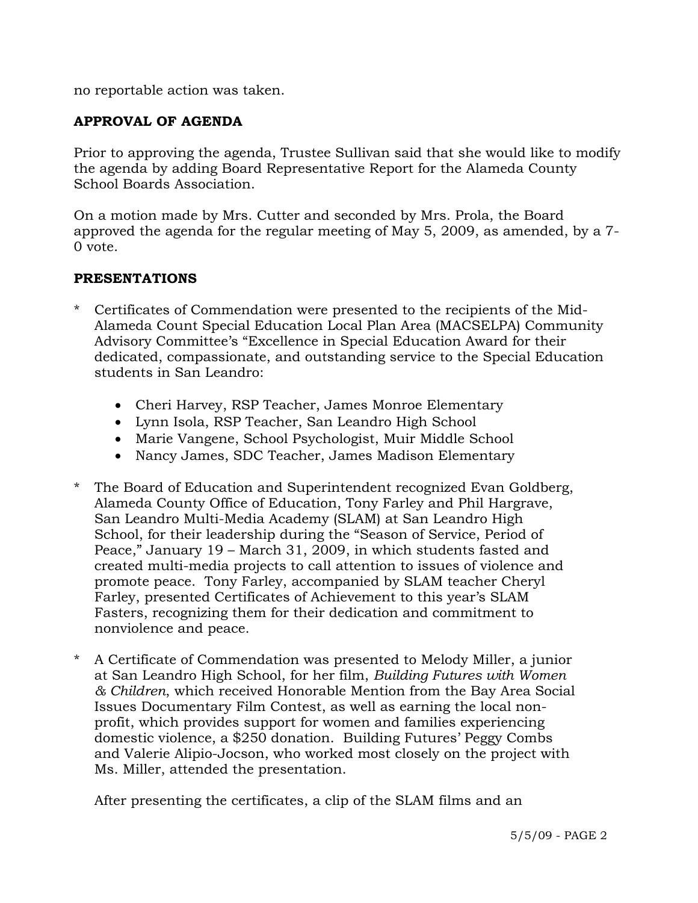no reportable action was taken.

# **APPROVAL OF AGENDA**

Prior to approving the agenda, Trustee Sullivan said that she would like to modify the agenda by adding Board Representative Report for the Alameda County School Boards Association.

On a motion made by Mrs. Cutter and seconded by Mrs. Prola, the Board approved the agenda for the regular meeting of May 5, 2009, as amended, by a 7- 0 vote.

#### **PRESENTATIONS**

- \* Certificates of Commendation were presented to the recipients of the Mid-Alameda Count Special Education Local Plan Area (MACSELPA) Community Advisory Committee's "Excellence in Special Education Award for their dedicated, compassionate, and outstanding service to the Special Education students in San Leandro:
	- Cheri Harvey, RSP Teacher, James Monroe Elementary
	- Lynn Isola, RSP Teacher, San Leandro High School
	- Marie Vangene, School Psychologist, Muir Middle School
	- Nancy James, SDC Teacher, James Madison Elementary
- \* The Board of Education and Superintendent recognized Evan Goldberg, Alameda County Office of Education, Tony Farley and Phil Hargrave, San Leandro Multi-Media Academy (SLAM) at San Leandro High School, for their leadership during the "Season of Service, Period of Peace," January 19 – March 31, 2009, in which students fasted and created multi-media projects to call attention to issues of violence and promote peace. Tony Farley, accompanied by SLAM teacher Cheryl Farley, presented Certificates of Achievement to this year's SLAM Fasters, recognizing them for their dedication and commitment to nonviolence and peace.
- \* A Certificate of Commendation was presented to Melody Miller, a junior at San Leandro High School, for her film, *Building Futures with Women & Children*, which received Honorable Mention from the Bay Area Social Issues Documentary Film Contest, as well as earning the local nonprofit, which provides support for women and families experiencing domestic violence, a \$250 donation. Building Futures' Peggy Combs and Valerie Alipio-Jocson, who worked most closely on the project with Ms. Miller, attended the presentation.

After presenting the certificates, a clip of the SLAM films and an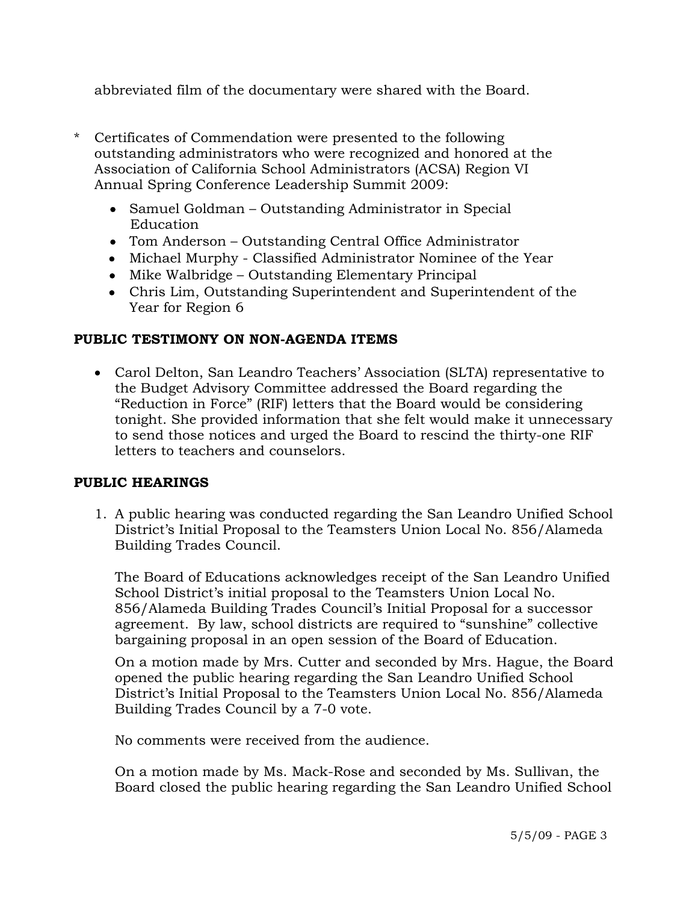abbreviated film of the documentary were shared with the Board.

- \* Certificates of Commendation were presented to the following outstanding administrators who were recognized and honored at the Association of California School Administrators (ACSA) Region VI Annual Spring Conference Leadership Summit 2009:
	- Samuel Goldman Outstanding Administrator in Special Education
	- Tom Anderson Outstanding Central Office Administrator
	- Michael Murphy Classified Administrator Nominee of the Year
	- Mike Walbridge Outstanding Elementary Principal
	- Chris Lim, Outstanding Superintendent and Superintendent of the Year for Region 6

## **PUBLIC TESTIMONY ON NON-AGENDA ITEMS**

• Carol Delton, San Leandro Teachers' Association (SLTA) representative to the Budget Advisory Committee addressed the Board regarding the "Reduction in Force" (RIF) letters that the Board would be considering tonight. She provided information that she felt would make it unnecessary to send those notices and urged the Board to rescind the thirty-one RIF letters to teachers and counselors.

## **PUBLIC HEARINGS**

1. A public hearing was conducted regarding the San Leandro Unified School District's Initial Proposal to the Teamsters Union Local No. 856/Alameda Building Trades Council.

The Board of Educations acknowledges receipt of the San Leandro Unified School District's initial proposal to the Teamsters Union Local No. 856/Alameda Building Trades Council's Initial Proposal for a successor agreement. By law, school districts are required to "sunshine" collective bargaining proposal in an open session of the Board of Education.

On a motion made by Mrs. Cutter and seconded by Mrs. Hague, the Board opened the public hearing regarding the San Leandro Unified School District's Initial Proposal to the Teamsters Union Local No. 856/Alameda Building Trades Council by a 7-0 vote.

No comments were received from the audience.

On a motion made by Ms. Mack-Rose and seconded by Ms. Sullivan, the Board closed the public hearing regarding the San Leandro Unified School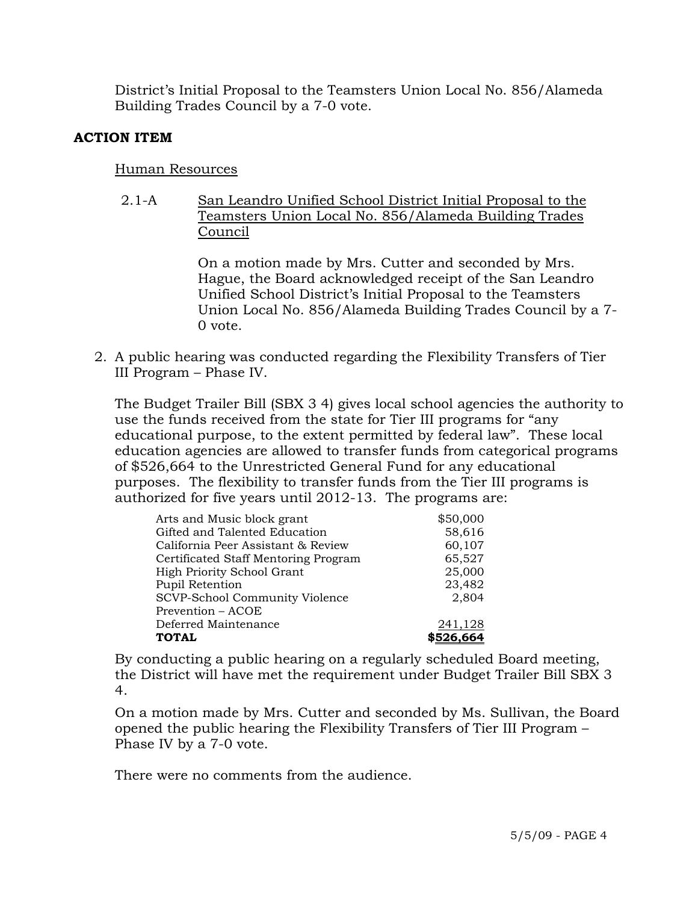District's Initial Proposal to the Teamsters Union Local No. 856/Alameda Building Trades Council by a 7-0 vote.

## **ACTION ITEM**

## Human Resources

2.1-A San Leandro Unified School District Initial Proposal to the Teamsters Union Local No. 856/Alameda Building Trades Council

> On a motion made by Mrs. Cutter and seconded by Mrs. Hague, the Board acknowledged receipt of the San Leandro Unified School District's Initial Proposal to the Teamsters Union Local No. 856/Alameda Building Trades Council by a 7- 0 vote.

2. A public hearing was conducted regarding the Flexibility Transfers of Tier III Program – Phase IV.

The Budget Trailer Bill (SBX 3 4) gives local school agencies the authority to use the funds received from the state for Tier III programs for "any educational purpose, to the extent permitted by federal law". These local education agencies are allowed to transfer funds from categorical programs of \$526,664 to the Unrestricted General Fund for any educational purposes. The flexibility to transfer funds from the Tier III programs is authorized for five years until 2012-13. The programs are:

| Arts and Music block grant           | \$50,000  |
|--------------------------------------|-----------|
| Gifted and Talented Education        | 58,616    |
| California Peer Assistant & Review   | 60,107    |
| Certificated Staff Mentoring Program | 65,527    |
| High Priority School Grant           | 25,000    |
| Pupil Retention                      | 23,482    |
| SCVP-School Community Violence       | 2,804     |
| Prevention – ACOE                    |           |
| Deferred Maintenance                 | 241,128   |
| <b>TOTAL</b>                         | \$526,664 |

By conducting a public hearing on a regularly scheduled Board meeting, the District will have met the requirement under Budget Trailer Bill SBX 3 4.

On a motion made by Mrs. Cutter and seconded by Ms. Sullivan, the Board opened the public hearing the Flexibility Transfers of Tier III Program – Phase IV by a 7-0 vote.

There were no comments from the audience.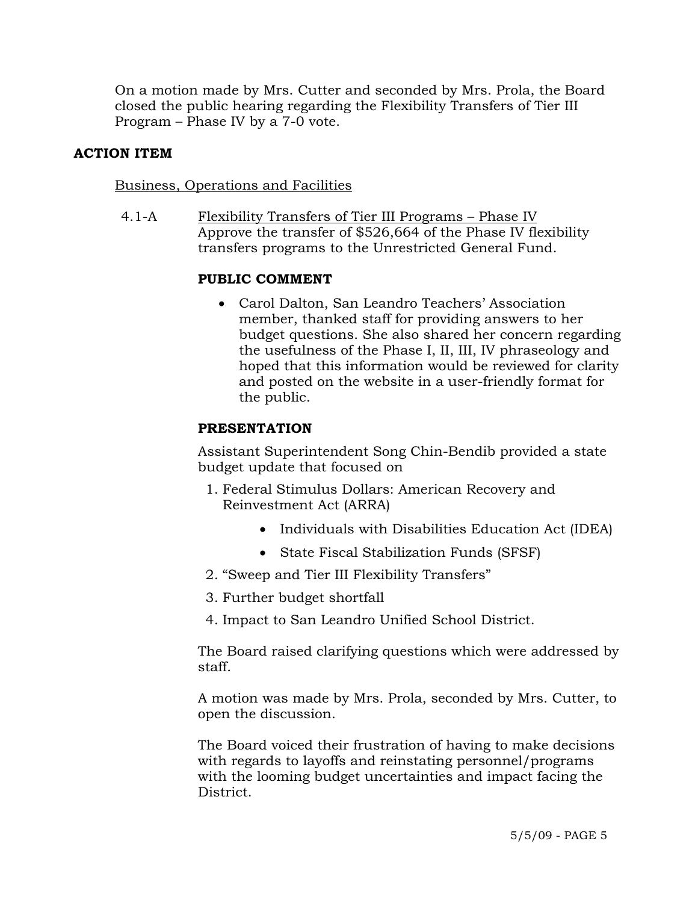On a motion made by Mrs. Cutter and seconded by Mrs. Prola, the Board closed the public hearing regarding the Flexibility Transfers of Tier III Program – Phase IV by a 7-0 vote.

#### **ACTION ITEM**

#### Business, Operations and Facilities

4.1-A Flexibility Transfers of Tier III Programs – Phase IV Approve the transfer of \$526,664 of the Phase IV flexibility transfers programs to the Unrestricted General Fund.

## **PUBLIC COMMENT**

• Carol Dalton, San Leandro Teachers' Association member, thanked staff for providing answers to her budget questions. She also shared her concern regarding the usefulness of the Phase I, II, III, IV phraseology and hoped that this information would be reviewed for clarity and posted on the website in a user-friendly format for the public.

#### **PRESENTATION**

Assistant Superintendent Song Chin-Bendib provided a state budget update that focused on

- 1. Federal Stimulus Dollars: American Recovery and Reinvestment Act (ARRA)
	- Individuals with Disabilities Education Act (IDEA)
	- State Fiscal Stabilization Funds (SFSF)
- 2. "Sweep and Tier III Flexibility Transfers"
- 3. Further budget shortfall
- 4. Impact to San Leandro Unified School District.

The Board raised clarifying questions which were addressed by staff.

A motion was made by Mrs. Prola, seconded by Mrs. Cutter, to open the discussion.

The Board voiced their frustration of having to make decisions with regards to layoffs and reinstating personnel/programs with the looming budget uncertainties and impact facing the District.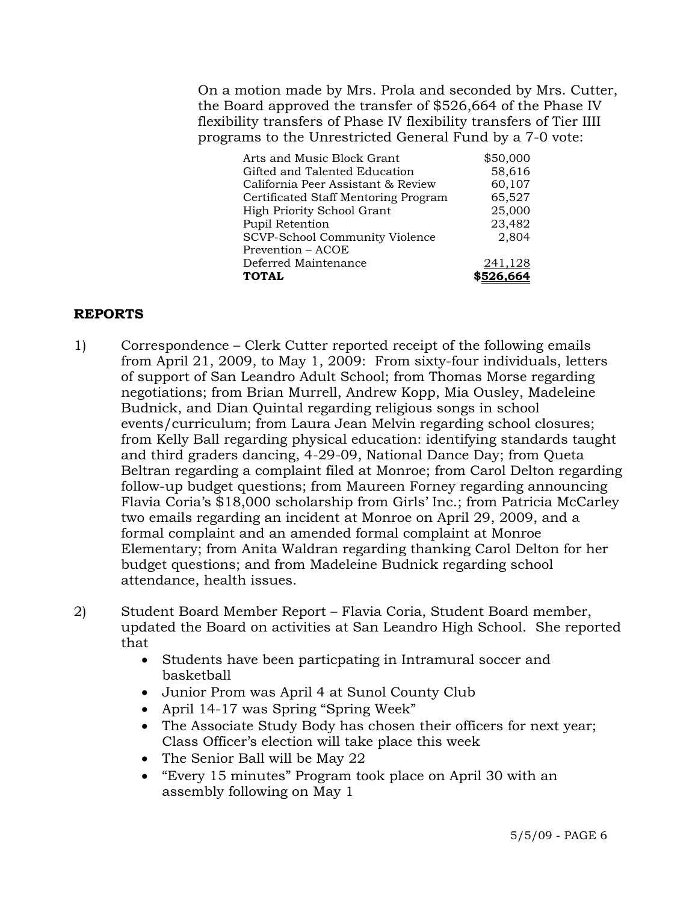On a motion made by Mrs. Prola and seconded by Mrs. Cutter, the Board approved the transfer of \$526,664 of the Phase IV flexibility transfers of Phase IV flexibility transfers of Tier IIII programs to the Unrestricted General Fund by a 7-0 vote:

| Arts and Music Block Grant           | \$50,000 |
|--------------------------------------|----------|
| Gifted and Talented Education        | 58,616   |
| California Peer Assistant & Review   | 60,107   |
| Certificated Staff Mentoring Program | 65,527   |
| High Priority School Grant           | 25,000   |
| Pupil Retention                      | 23,482   |
| SCVP-School Community Violence       | 2,804    |
| Prevention – ACOE                    |          |
| Deferred Maintenance                 | 241,128  |
| <b>TOTAL</b>                         |          |

## **REPORTS**

- 1) Correspondence Clerk Cutter reported receipt of the following emails from April 21, 2009, to May 1, 2009: From sixty-four individuals, letters of support of San Leandro Adult School; from Thomas Morse regarding negotiations; from Brian Murrell, Andrew Kopp, Mia Ousley, Madeleine Budnick, and Dian Quintal regarding religious songs in school events/curriculum; from Laura Jean Melvin regarding school closures; from Kelly Ball regarding physical education: identifying standards taught and third graders dancing, 4-29-09, National Dance Day; from Queta Beltran regarding a complaint filed at Monroe; from Carol Delton regarding follow-up budget questions; from Maureen Forney regarding announcing Flavia Coria's \$18,000 scholarship from Girls' Inc.; from Patricia McCarley two emails regarding an incident at Monroe on April 29, 2009, and a formal complaint and an amended formal complaint at Monroe Elementary; from Anita Waldran regarding thanking Carol Delton for her budget questions; and from Madeleine Budnick regarding school attendance, health issues.
- 2) Student Board Member Report Flavia Coria, Student Board member, updated the Board on activities at San Leandro High School. She reported that
	- Students have been particpating in Intramural soccer and basketball
	- Junior Prom was April 4 at Sunol County Club
	- April 14-17 was Spring "Spring Week"
	- The Associate Study Body has chosen their officers for next year; Class Officer's election will take place this week
	- The Senior Ball will be May 22
	- "Every 15 minutes" Program took place on April 30 with an assembly following on May 1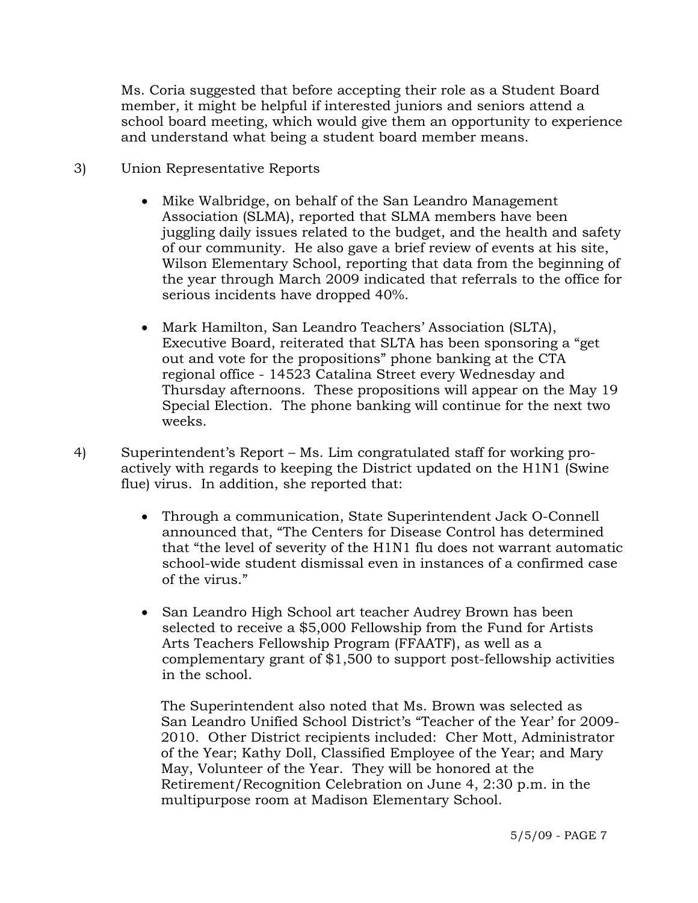Ms. Coria suggested that before accepting their role as a Student Board member, it might be helpful if interested juniors and seniors attend a school board meeting, which would give them an opportunity to experience and understand what being a student board member means.

- 3) Union Representative Reports
	- Mike Walbridge, on behalf of the San Leandro Management Association (SLMA), reported that SLMA members have been juggling daily issues related to the budget, and the health and safety of our community. He also gave a brief review of events at his site, Wilson Elementary School, reporting that data from the beginning of the year through March 2009 indicated that referrals to the office for serious incidents have dropped 40%.
	- Mark Hamilton, San Leandro Teachers' Association (SLTA), Executive Board, reiterated that SLTA has been sponsoring a "get out and vote for the propositions" phone banking at the CTA regional office - 14523 Catalina Street every Wednesday and Thursday afternoons. These propositions will appear on the May 19 Special Election. The phone banking will continue for the next two weeks.
- 4) Superintendent's Report Ms. Lim congratulated staff for working proactively with regards to keeping the District updated on the H1N1 (Swine flue) virus. In addition, she reported that:
	- Through a communication, State Superintendent Jack O-Connell announced that, "The Centers for Disease Control has determined that "the level of severity of the H1N1 flu does not warrant automatic school-wide student dismissal even in instances of a confirmed case of the virus."
	- San Leandro High School art teacher Audrey Brown has been selected to receive a \$5,000 Fellowship from the Fund for Artists Arts Teachers Fellowship Program (FFAATF), as well as a complementary grant of \$1,500 to support post-fellowship activities in the school.

 The Superintendent also noted that Ms. Brown was selected as San Leandro Unified School District's "Teacher of the Year' for 2009- 2010. Other District recipients included: Cher Mott, Administrator of the Year; Kathy Doll, Classified Employee of the Year; and Mary May, Volunteer of the Year. They will be honored at the Retirement/Recognition Celebration on June 4, 2:30 p.m. in the multipurpose room at Madison Elementary School.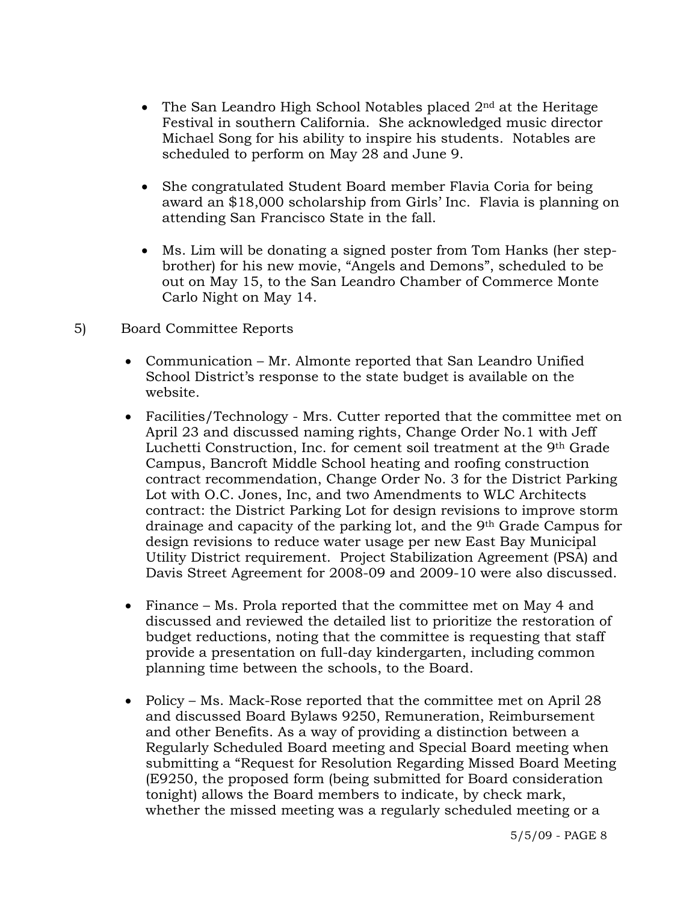- The San Leandro High School Notables placed  $2<sup>nd</sup>$  at the Heritage Festival in southern California. She acknowledged music director Michael Song for his ability to inspire his students. Notables are scheduled to perform on May 28 and June 9.
- She congratulated Student Board member Flavia Coria for being award an \$18,000 scholarship from Girls' Inc. Flavia is planning on attending San Francisco State in the fall.
- Ms. Lim will be donating a signed poster from Tom Hanks (her stepbrother) for his new movie, "Angels and Demons", scheduled to be out on May 15, to the San Leandro Chamber of Commerce Monte Carlo Night on May 14.
- 5) Board Committee Reports
	- Communication Mr. Almonte reported that San Leandro Unified School District's response to the state budget is available on the website.
	- Facilities/Technology Mrs. Cutter reported that the committee met on April 23 and discussed naming rights, Change Order No.1 with Jeff Luchetti Construction, Inc. for cement soil treatment at the 9th Grade Campus, Bancroft Middle School heating and roofing construction contract recommendation, Change Order No. 3 for the District Parking Lot with O.C. Jones, Inc, and two Amendments to WLC Architects contract: the District Parking Lot for design revisions to improve storm drainage and capacity of the parking lot, and the 9th Grade Campus for design revisions to reduce water usage per new East Bay Municipal Utility District requirement. Project Stabilization Agreement (PSA) and Davis Street Agreement for 2008-09 and 2009-10 were also discussed.
	- Finance Ms. Prola reported that the committee met on May 4 and discussed and reviewed the detailed list to prioritize the restoration of budget reductions, noting that the committee is requesting that staff provide a presentation on full-day kindergarten, including common planning time between the schools, to the Board.
	- Policy Ms. Mack-Rose reported that the committee met on April 28 and discussed Board Bylaws 9250, Remuneration, Reimbursement and other Benefits. As a way of providing a distinction between a Regularly Scheduled Board meeting and Special Board meeting when submitting a "Request for Resolution Regarding Missed Board Meeting (E9250, the proposed form (being submitted for Board consideration tonight) allows the Board members to indicate, by check mark, whether the missed meeting was a regularly scheduled meeting or a

5/5/09 - PAGE 8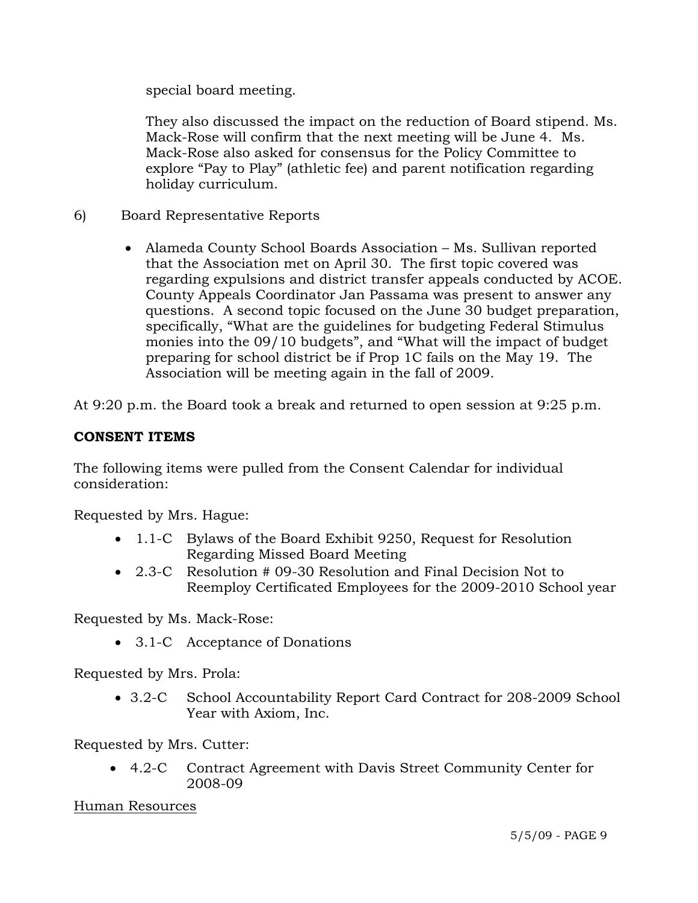special board meeting.

They also discussed the impact on the reduction of Board stipend. Ms. Mack-Rose will confirm that the next meeting will be June 4. Ms. Mack-Rose also asked for consensus for the Policy Committee to explore "Pay to Play" (athletic fee) and parent notification regarding holiday curriculum.

- 6) Board Representative Reports
	- Alameda County School Boards Association Ms. Sullivan reported that the Association met on April 30. The first topic covered was regarding expulsions and district transfer appeals conducted by ACOE. County Appeals Coordinator Jan Passama was present to answer any questions. A second topic focused on the June 30 budget preparation, specifically, "What are the guidelines for budgeting Federal Stimulus monies into the 09/10 budgets", and "What will the impact of budget preparing for school district be if Prop 1C fails on the May 19. The Association will be meeting again in the fall of 2009.

At 9:20 p.m. the Board took a break and returned to open session at 9:25 p.m.

## **CONSENT ITEMS**

The following items were pulled from the Consent Calendar for individual consideration:

Requested by Mrs. Hague:

- 1.1-C Bylaws of the Board Exhibit 9250, Request for Resolution Regarding Missed Board Meeting
- 2.3-C Resolution # 09-30 Resolution and Final Decision Not to Reemploy Certificated Employees for the 2009-2010 School year

Requested by Ms. Mack-Rose:

• 3.1-C Acceptance of Donations

Requested by Mrs. Prola:

• 3.2-C School Accountability Report Card Contract for 208-2009 School Year with Axiom, Inc.

Requested by Mrs. Cutter:

• 4.2-C Contract Agreement with Davis Street Community Center for 2008-09

Human Resources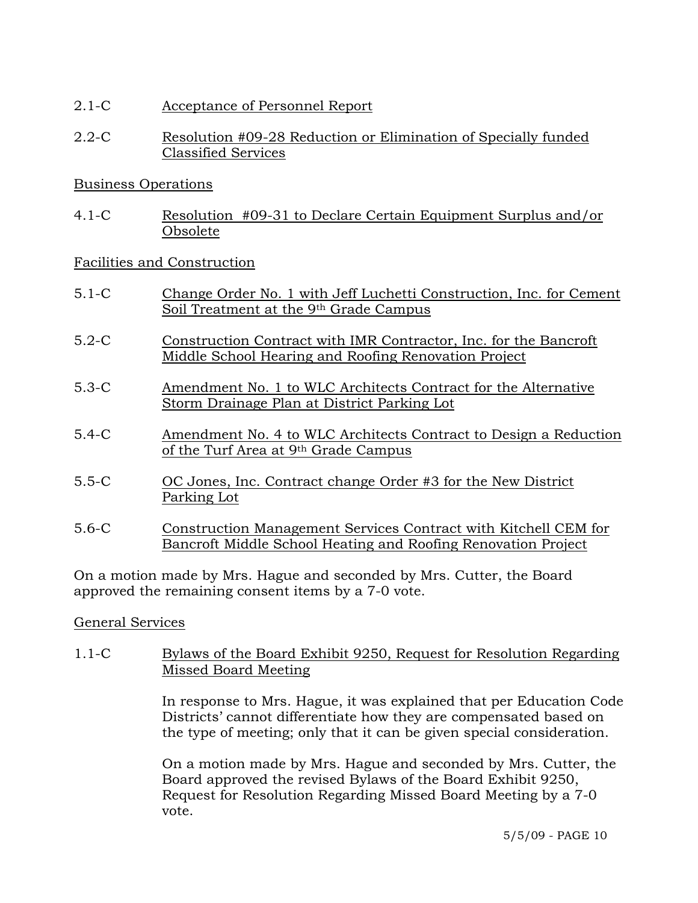- 2.1-C Acceptance of Personnel Report
- 2.2-C Resolution #09-28 Reduction or Elimination of Specially funded Classified Services

# Business Operations

4.1-C Resolution #09-31 to Declare Certain Equipment Surplus and/or Obsolete

# Facilities and Construction

- 5.1-C Change Order No. 1 with Jeff Luchetti Construction, Inc. for Cement Soil Treatment at the 9th Grade Campus
- 5.2-C Construction Contract with IMR Contractor, Inc. for the Bancroft Middle School Hearing and Roofing Renovation Project
- 5.3-C Amendment No. 1 to WLC Architects Contract for the Alternative Storm Drainage Plan at District Parking Lot
- 5.4-C Amendment No. 4 to WLC Architects Contract to Design a Reduction of the Turf Area at 9th Grade Campus
- 5.5-C OC Jones, Inc. Contract change Order #3 for the New District Parking Lot
- 5.6-C Construction Management Services Contract with Kitchell CEM for Bancroft Middle School Heating and Roofing Renovation Project

On a motion made by Mrs. Hague and seconded by Mrs. Cutter, the Board approved the remaining consent items by a 7-0 vote.

## General Services

1.1-C Bylaws of the Board Exhibit 9250, Request for Resolution Regarding Missed Board Meeting

> In response to Mrs. Hague, it was explained that per Education Code Districts' cannot differentiate how they are compensated based on the type of meeting; only that it can be given special consideration.

On a motion made by Mrs. Hague and seconded by Mrs. Cutter, the Board approved the revised Bylaws of the Board Exhibit 9250, Request for Resolution Regarding Missed Board Meeting by a 7-0 vote.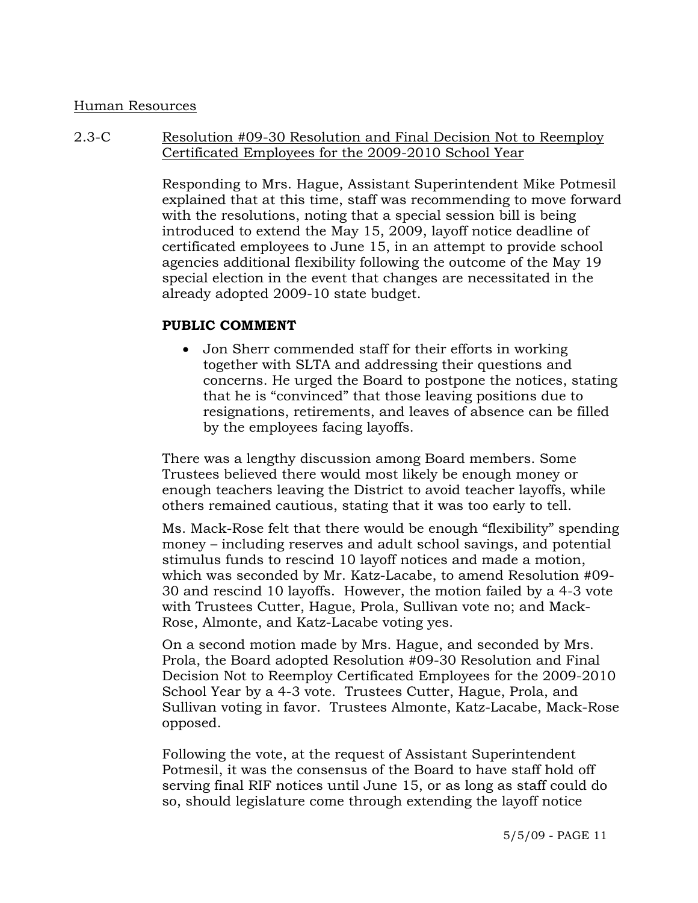#### Human Resources

#### 2.3-C Resolution #09-30 Resolution and Final Decision Not to Reemploy Certificated Employees for the 2009-2010 School Year

Responding to Mrs. Hague, Assistant Superintendent Mike Potmesil explained that at this time, staff was recommending to move forward with the resolutions, noting that a special session bill is being introduced to extend the May 15, 2009, layoff notice deadline of certificated employees to June 15, in an attempt to provide school agencies additional flexibility following the outcome of the May 19 special election in the event that changes are necessitated in the already adopted 2009-10 state budget.

#### **PUBLIC COMMENT**

• Jon Sherr commended staff for their efforts in working together with SLTA and addressing their questions and concerns. He urged the Board to postpone the notices, stating that he is "convinced" that those leaving positions due to resignations, retirements, and leaves of absence can be filled by the employees facing layoffs.

There was a lengthy discussion among Board members. Some Trustees believed there would most likely be enough money or enough teachers leaving the District to avoid teacher layoffs, while others remained cautious, stating that it was too early to tell.

Ms. Mack-Rose felt that there would be enough "flexibility" spending money – including reserves and adult school savings, and potential stimulus funds to rescind 10 layoff notices and made a motion, which was seconded by Mr. Katz-Lacabe, to amend Resolution #09- 30 and rescind 10 layoffs. However, the motion failed by a 4-3 vote with Trustees Cutter, Hague, Prola, Sullivan vote no; and Mack-Rose, Almonte, and Katz-Lacabe voting yes.

On a second motion made by Mrs. Hague, and seconded by Mrs. Prola, the Board adopted Resolution #09-30 Resolution and Final Decision Not to Reemploy Certificated Employees for the 2009-2010 School Year by a 4-3 vote. Trustees Cutter, Hague, Prola, and Sullivan voting in favor. Trustees Almonte, Katz-Lacabe, Mack-Rose opposed.

Following the vote, at the request of Assistant Superintendent Potmesil, it was the consensus of the Board to have staff hold off serving final RIF notices until June 15, or as long as staff could do so, should legislature come through extending the layoff notice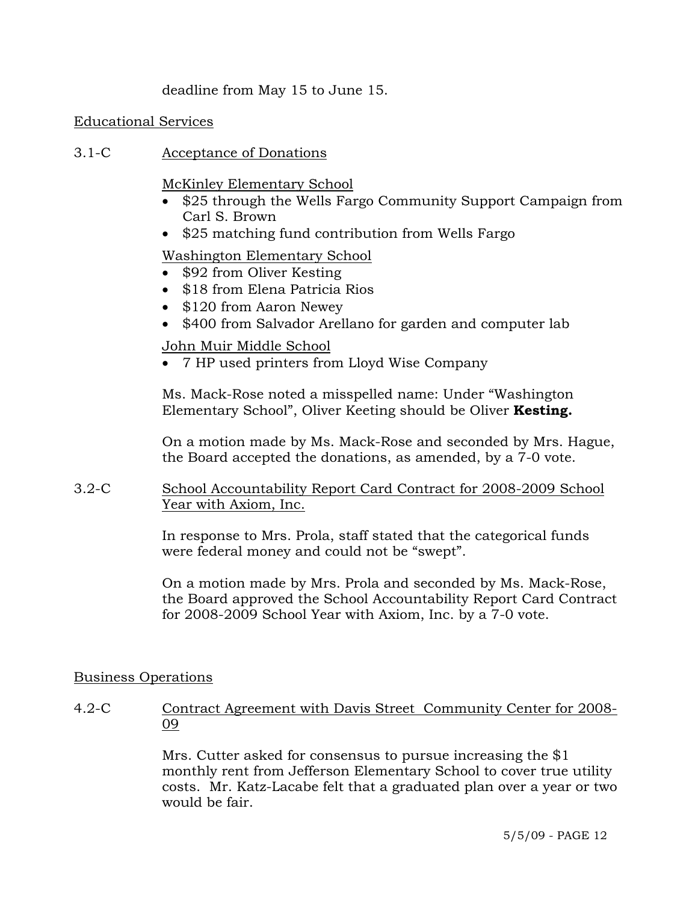deadline from May 15 to June 15.

#### Educational Services

3.1-C Acceptance of Donations

McKinley Elementary School

- \$25 through the Wells Fargo Community Support Campaign from Carl S. Brown
- \$25 matching fund contribution from Wells Fargo

# Washington Elementary School

- \$92 from Oliver Kesting
- \$18 from Elena Patricia Rios
- \$120 from Aaron Newey
- \$400 from Salvador Arellano for garden and computer lab

## John Muir Middle School

• 7 HP used printers from Lloyd Wise Company

Ms. Mack-Rose noted a misspelled name: Under "Washington Elementary School", Oliver Keeting should be Oliver **Kesting.** 

On a motion made by Ms. Mack-Rose and seconded by Mrs. Hague, the Board accepted the donations, as amended, by a 7-0 vote.

3.2-C School Accountability Report Card Contract for 2008-2009 School Year with Axiom, Inc.

> In response to Mrs. Prola, staff stated that the categorical funds were federal money and could not be "swept".

On a motion made by Mrs. Prola and seconded by Ms. Mack-Rose, the Board approved the School Accountability Report Card Contract for 2008-2009 School Year with Axiom, Inc. by a 7-0 vote.

## Business Operations

4.2-C Contract Agreement with Davis Street Community Center for 2008-09

> Mrs. Cutter asked for consensus to pursue increasing the \$1 monthly rent from Jefferson Elementary School to cover true utility costs. Mr. Katz-Lacabe felt that a graduated plan over a year or two would be fair.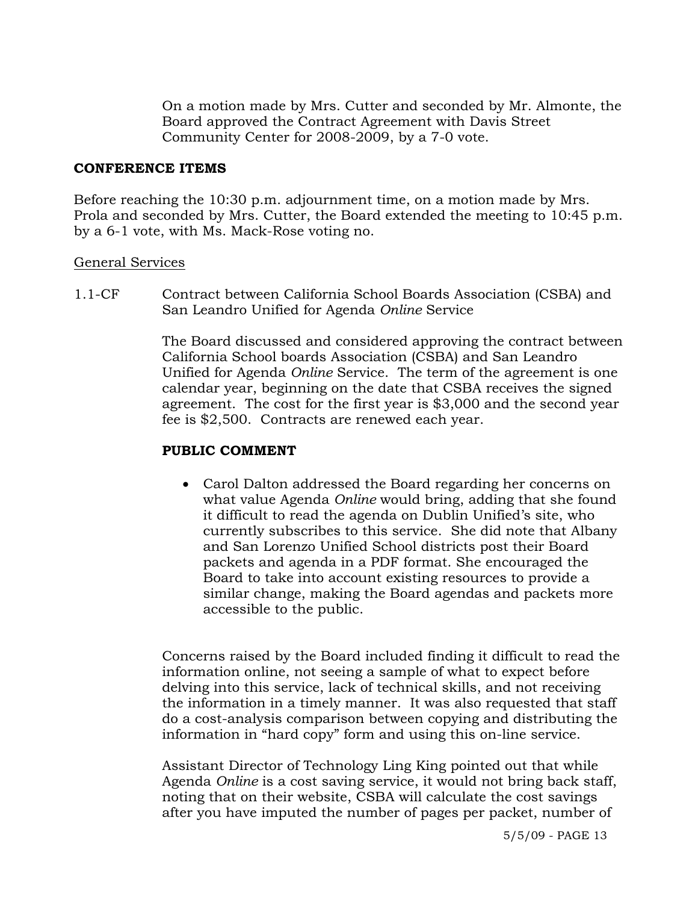On a motion made by Mrs. Cutter and seconded by Mr. Almonte, the Board approved the Contract Agreement with Davis Street Community Center for 2008-2009, by a 7-0 vote.

#### **CONFERENCE ITEMS**

Before reaching the 10:30 p.m. adjournment time, on a motion made by Mrs. Prola and seconded by Mrs. Cutter, the Board extended the meeting to 10:45 p.m. by a 6-1 vote, with Ms. Mack-Rose voting no.

#### General Services

1.1-CF Contract between California School Boards Association (CSBA) and San Leandro Unified for Agenda *Online* Service

> The Board discussed and considered approving the contract between California School boards Association (CSBA) and San Leandro Unified for Agenda *Online* Service. The term of the agreement is one calendar year, beginning on the date that CSBA receives the signed agreement. The cost for the first year is \$3,000 and the second year fee is \$2,500. Contracts are renewed each year.

#### **PUBLIC COMMENT**

• Carol Dalton addressed the Board regarding her concerns on what value Agenda *Online* would bring, adding that she found it difficult to read the agenda on Dublin Unified's site, who currently subscribes to this service. She did note that Albany and San Lorenzo Unified School districts post their Board packets and agenda in a PDF format. She encouraged the Board to take into account existing resources to provide a similar change, making the Board agendas and packets more accessible to the public.

Concerns raised by the Board included finding it difficult to read the information online, not seeing a sample of what to expect before delving into this service, lack of technical skills, and not receiving the information in a timely manner. It was also requested that staff do a cost-analysis comparison between copying and distributing the information in "hard copy" form and using this on-line service.

Assistant Director of Technology Ling King pointed out that while Agenda *Online* is a cost saving service, it would not bring back staff, noting that on their website, CSBA will calculate the cost savings after you have imputed the number of pages per packet, number of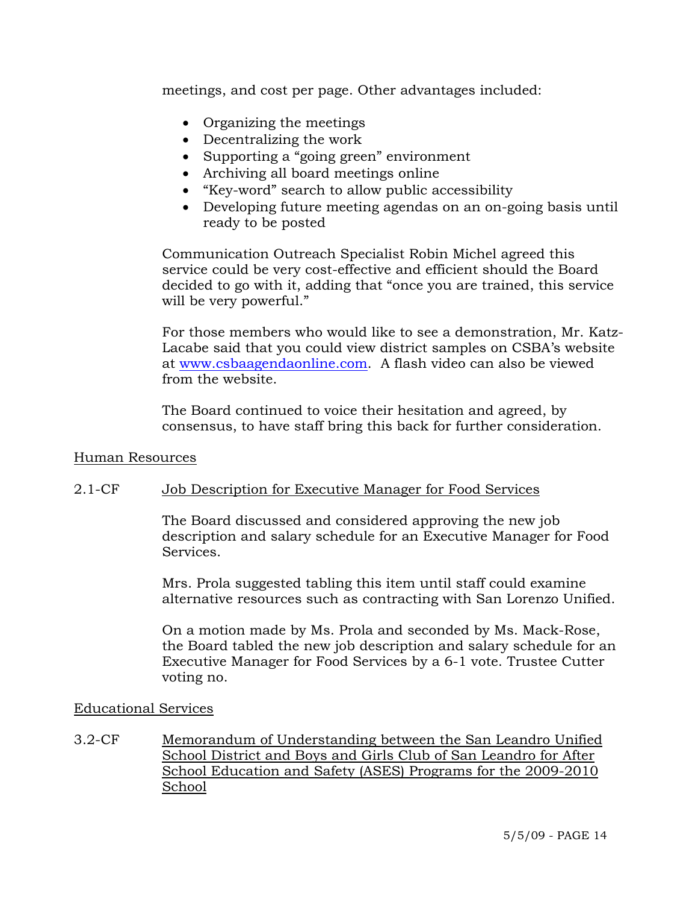meetings, and cost per page. Other advantages included:

- Organizing the meetings
- Decentralizing the work
- Supporting a "going green" environment
- Archiving all board meetings online
- "Key-word" search to allow public accessibility
- Developing future meeting agendas on an on-going basis until ready to be posted

Communication Outreach Specialist Robin Michel agreed this service could be very cost-effective and efficient should the Board decided to go with it, adding that "once you are trained, this service will be very powerful."

For those members who would like to see a demonstration, Mr. Katz-Lacabe said that you could view district samples on CSBA's website at www.csbaagendaonline.com. A flash video can also be viewed from the website.

The Board continued to voice their hesitation and agreed, by consensus, to have staff bring this back for further consideration.

#### Human Resources

## 2.1-CF Job Description for Executive Manager for Food Services

The Board discussed and considered approving the new job description and salary schedule for an Executive Manager for Food Services.

Mrs. Prola suggested tabling this item until staff could examine alternative resources such as contracting with San Lorenzo Unified.

On a motion made by Ms. Prola and seconded by Ms. Mack-Rose, the Board tabled the new job description and salary schedule for an Executive Manager for Food Services by a 6-1 vote. Trustee Cutter voting no.

#### Educational Services

3.2-CF Memorandum of Understanding between the San Leandro Unified School District and Boys and Girls Club of San Leandro for After School Education and Safety (ASES) Programs for the 2009-2010 School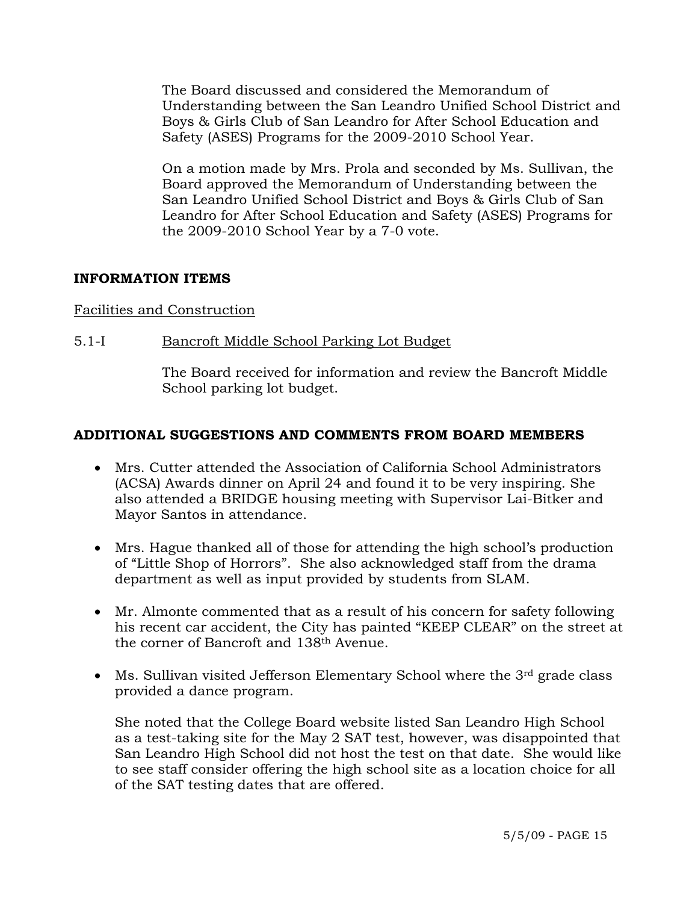The Board discussed and considered the Memorandum of Understanding between the San Leandro Unified School District and Boys & Girls Club of San Leandro for After School Education and Safety (ASES) Programs for the 2009-2010 School Year.

On a motion made by Mrs. Prola and seconded by Ms. Sullivan, the Board approved the Memorandum of Understanding between the San Leandro Unified School District and Boys & Girls Club of San Leandro for After School Education and Safety (ASES) Programs for the 2009-2010 School Year by a 7-0 vote.

## **INFORMATION ITEMS**

## Facilities and Construction

5.1-I Bancroft Middle School Parking Lot Budget

The Board received for information and review the Bancroft Middle School parking lot budget.

## **ADDITIONAL SUGGESTIONS AND COMMENTS FROM BOARD MEMBERS**

- Mrs. Cutter attended the Association of California School Administrators (ACSA) Awards dinner on April 24 and found it to be very inspiring. She also attended a BRIDGE housing meeting with Supervisor Lai-Bitker and Mayor Santos in attendance.
- Mrs. Hague thanked all of those for attending the high school's production of "Little Shop of Horrors". She also acknowledged staff from the drama department as well as input provided by students from SLAM.
- Mr. Almonte commented that as a result of his concern for safety following his recent car accident, the City has painted "KEEP CLEAR" on the street at the corner of Bancroft and 138th Avenue.
- Ms. Sullivan visited Jefferson Elementary School where the  $3<sup>rd</sup>$  grade class provided a dance program.

She noted that the College Board website listed San Leandro High School as a test-taking site for the May 2 SAT test, however, was disappointed that San Leandro High School did not host the test on that date. She would like to see staff consider offering the high school site as a location choice for all of the SAT testing dates that are offered.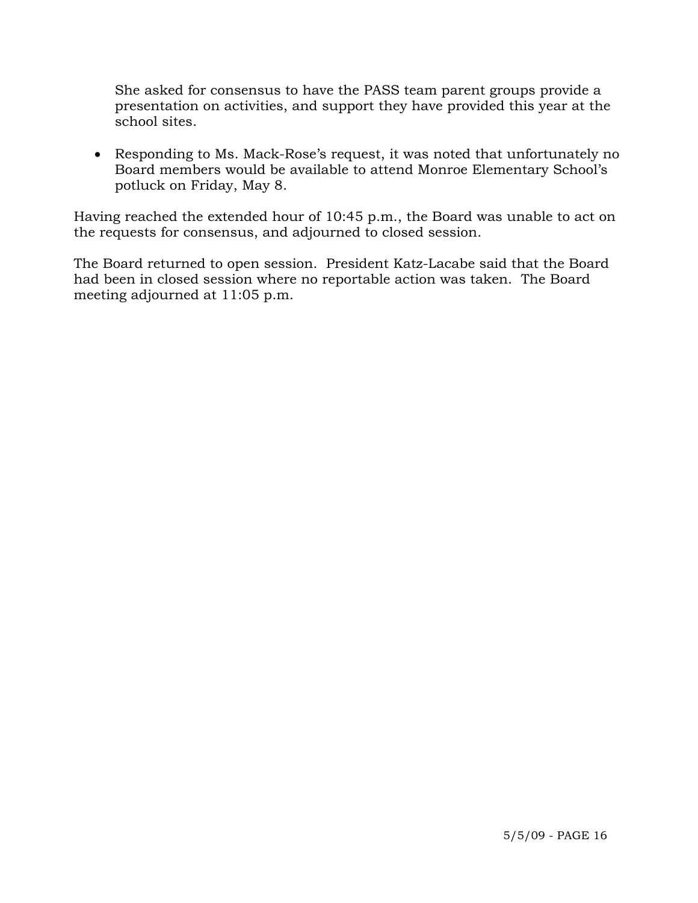She asked for consensus to have the PASS team parent groups provide a presentation on activities, and support they have provided this year at the school sites.

• Responding to Ms. Mack-Rose's request, it was noted that unfortunately no Board members would be available to attend Monroe Elementary School's potluck on Friday, May 8.

Having reached the extended hour of 10:45 p.m., the Board was unable to act on the requests for consensus, and adjourned to closed session.

The Board returned to open session. President Katz-Lacabe said that the Board had been in closed session where no reportable action was taken. The Board meeting adjourned at 11:05 p.m.